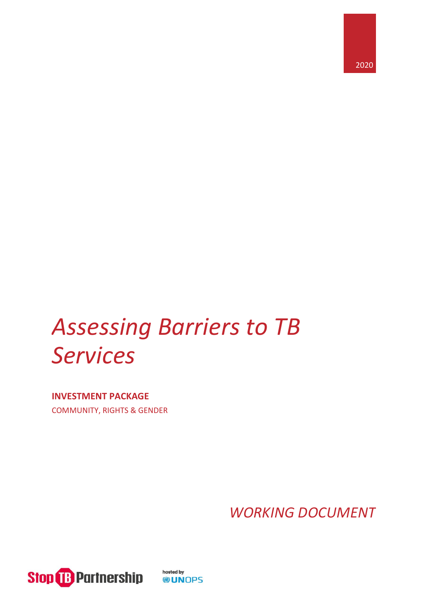

# *Assessing Barriers to TB Services*

**INVESTMENT PACKAGE** COMMUNITY, RIGHTS & GENDER

*WORKING DOCUMENT*



hosted by **®UNOPS**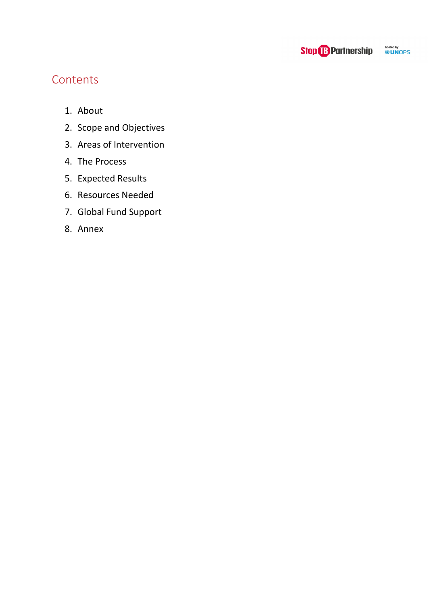

# **Contents**

- 1. [About](#page-2-0)
- 2. [Scope and Objectives](#page-3-0)
- 3. [Areas of Intervention](#page-4-0)
- 4. [The Process](#page-4-1)
- 5. [Expected Results](#page-7-0)
- 6. [Resources Needed](#page-7-1)
- 7. [Global Fund Support](#page-8-0)
- 8. [Annex](#page-12-0)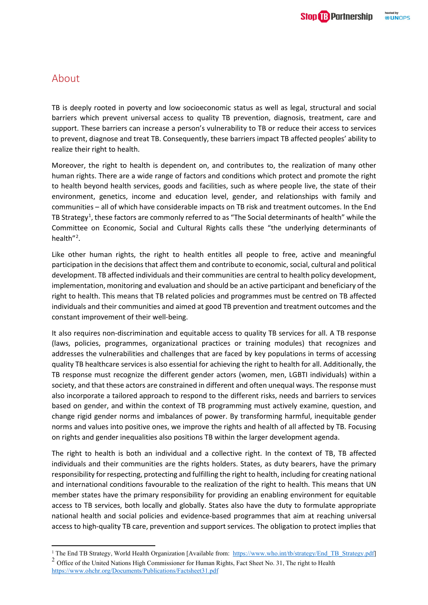## <span id="page-2-0"></span>About

TB is deeply rooted in poverty and low socioeconomic status as well as legal, structural and social barriers which prevent universal access to quality TB prevention, diagnosis, treatment, care and support. These barriers can increase a person's vulnerability to TB or reduce their access to services to prevent, diagnose and treat TB. Consequently, these barriers impact TB affected peoples' ability to realize their right to health.

Moreover, the right to health is dependent on, and contributes to, the realization of many other human rights. There are a wide range of factors and conditions which protect and promote the right to health beyond health services, goods and facilities, such as where people live, the state of their environment, genetics, income and education level, gender, and relationships with family and communities – all of which have considerable impacts on TB risk and treatment outcomes. In the End TB Strategy<sup>[1](#page-2-1)</sup>, these factors are commonly referred to as "The Social determinants of health" while the Committee on Economic, Social and Cultural Rights calls these "the underlying determinants of health"<sup>[2](#page-2-2)</sup>.

Like other human rights, the right to health entitles all people to free, active and meaningful participation in the decisions that affect them and contribute to economic, social, cultural and political development. TB affected individuals and their communities are central to health policy development, implementation, monitoring and evaluation and should be an active participant and beneficiary of the right to health. This means that TB related policies and programmes must be centred on TB affected individuals and their communities and aimed at good TB prevention and treatment outcomes and the constant improvement of their well-being.

It also requires non-discrimination and equitable access to quality TB services for all. A TB response (laws, policies, programmes, organizational practices or training modules) that recognizes and addresses the vulnerabilities and challenges that are faced by key populations in terms of accessing quality TB healthcare services is also essential for achieving the right to health for all. Additionally, the TB response must recognize the different gender actors (women, men, LGBTI individuals) within a society, and that these actors are constrained in different and often unequal ways. The response must also incorporate a tailored approach to respond to the different risks, needs and barriers to services based on gender, and within the context of TB programming must actively examine, question, and change rigid gender norms and imbalances of power. By transforming harmful, inequitable gender norms and values into positive ones, we improve the rights and health of all affected by TB. Focusing on rights and gender inequalities also positions TB within the larger development agenda.

The right to health is both an individual and a collective right. In the context of TB, TB affected individuals and their communities are the rights holders. States, as duty bearers, have the primary responsibility for respecting, protecting and fulfilling the right to health, including for creating national and international conditions favourable to the realization of the right to health. This means that UN member states have the primary responsibility for providing an enabling environment for equitable access to TB services, both locally and globally. States also have the duty to formulate appropriate national health and social policies and evidence-based programmes that aim at reaching universal access to high-quality TB care, prevention and support services. The obligation to protect implies that

<span id="page-2-2"></span><span id="page-2-1"></span><sup>&</sup>lt;sup>1</sup> The End TB Strategy, World Health Organization [Available from: [https://www.who.int/tb/strategy/End\\_TB\\_Strategy.pdf\]](https://www.who.int/tb/strategy/End_TB_Strategy.pdf) <sup>2</sup> Office of the United Nations High Commissioner for Human Rights, Fact Sheet No. 31, The right to Health <https://www.ohchr.org/Documents/Publications/Factsheet31.pdf>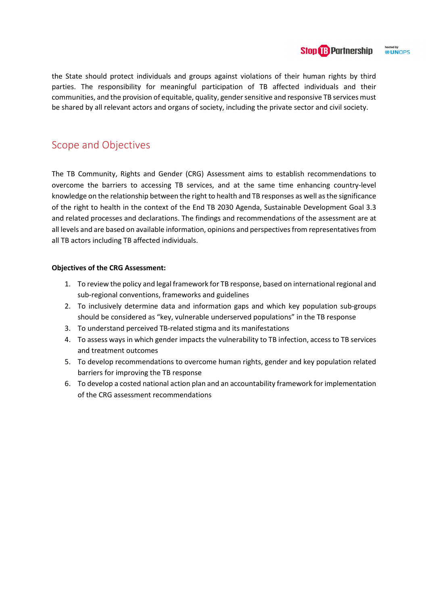#### hosted by<br>**BUNOPS Stop B Partnership**

the State should protect individuals and groups against violations of their human rights by third parties. The responsibility for meaningful participation of TB affected individuals and their communities, and the provision of equitable, quality, gender sensitive and responsive TB services must be shared by all relevant actors and organs of society, including the private sector and civil society.

# <span id="page-3-0"></span>Scope and Objectives

The TB Community, Rights and Gender (CRG) Assessment aims to establish recommendations to overcome the barriers to accessing TB services, and at the same time enhancing country-level knowledge on the relationship between the right to health and TB responses as well as the significance of the right to health in the context of the End TB 2030 Agenda, Sustainable Development Goal 3.3 and related processes and declarations. The findings and recommendations of the assessment are at all levels and are based on available information, opinions and perspectives from representatives from all TB actors including TB affected individuals.

### **Objectives of the CRG Assessment:**

- 1. To review the policy and legal framework for TB response, based on international regional and sub-regional conventions, frameworks and guidelines
- 2. To inclusively determine data and information gaps and which key population sub-groups should be considered as "key, vulnerable underserved populations" in the TB response
- 3. To understand perceived TB-related stigma and its manifestations
- 4. To assess ways in which gender impacts the vulnerability to TB infection, access to TB services and treatment outcomes
- 5. To develop recommendations to overcome human rights, gender and key population related barriers for improving the TB response
- 6. To develop a costed national action plan and an accountability framework for implementation of the CRG assessment recommendations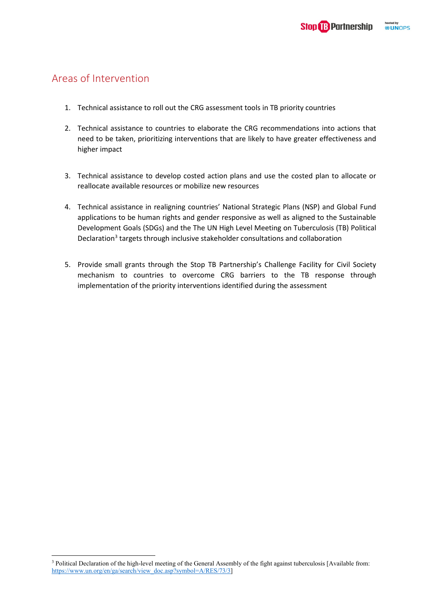# <span id="page-4-0"></span>Areas of Intervention

- 1. Technical assistance to roll out the CRG assessment tools in TB priority countries
- 2. Technical assistance to countries to elaborate the CRG recommendations into actions that need to be taken, prioritizing interventions that are likely to have greater effectiveness and higher impact
- 3. Technical assistance to develop costed action plans and use the costed plan to allocate or reallocate available resources or mobilize new resources
- 4. Technical assistance in realigning countries' National Strategic Plans (NSP) and Global Fund applications to be human rights and gender responsive as well as aligned to the Sustainable Development Goals (SDGs) and the The UN High Level Meeting on Tuberculosis (TB) Political Declaration<sup>[3](#page-4-2)</sup> targets through inclusive stakeholder consultations and collaboration
- <span id="page-4-1"></span>5. Provide small grants through the Stop TB Partnership's Challenge Facility for Civil Society mechanism to countries to overcome CRG barriers to the TB response through implementation of the priority interventions identified during the assessment

<span id="page-4-2"></span><sup>&</sup>lt;sup>3</sup> Political Declaration of the high-level meeting of the General Assembly of the fight against tuberculosis [Available from: [https://www.un.org/en/ga/search/view\\_doc.asp?symbol=A/RES/73/3\]](https://www.un.org/en/ga/search/view_doc.asp?symbol=A/RES/73/3)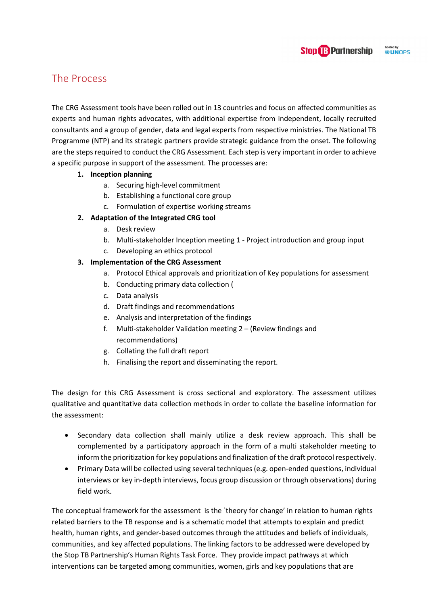# The Process

The CRG Assessment tools have been rolled out in 13 countries and focus on affected communities as experts and human rights advocates, with additional expertise from independent, locally recruited consultants and a group of gender, data and legal experts from respective ministries. The National TB Programme (NTP) and its strategic partners provide strategic guidance from the onset. The following are the steps required to conduct the CRG Assessment. Each step is very important in order to achieve a specific purpose in support of the assessment. The processes are:

### **1. Inception planning**

- a. Securing high-level commitment
- b. Establishing a functional core group
- c. Formulation of expertise working streams

### **2. Adaptation of the Integrated CRG tool**

- a. Desk review
- b. Multi-stakeholder Inception meeting 1 Project introduction and group input
- c. Developing an ethics protocol **3. Implementation of the CRG Assessment**
	- a. Protocol Ethical approvals and prioritization of Key populations for assessment
	- b. Conducting primary data collection (
	- c. Data analysis
	- d. Draft findings and recommendations
	- e. Analysis and interpretation of the findings
	- f. Multi-stakeholder Validation meeting 2 (Review findings and recommendations)
	- g. Collating the full draft report
	- h. Finalising the report and disseminating the report.

The design for this CRG Assessment is cross sectional and exploratory. The assessment utilizes qualitative and quantitative data collection methods in order to collate the baseline information for the assessment:

- Secondary data collection shall mainly utilize a desk review approach. This shall be complemented by a participatory approach in the form of a multi stakeholder meeting to inform the prioritization for key populations and finalization of the draft protocol respectively.
- Primary Data will be collected using several techniques (e.g. open-ended questions, individual interviews or key in-depth interviews, focus group discussion or through observations) during field work.

The conceptual framework for the assessment is the `theory for change' in relation to human rights related barriers to the TB response and is a schematic model that attempts to explain and predict health, human rights, and gender-based outcomes through the attitudes and beliefs of individuals, communities, and key affected populations. The linking factors to be addressed were developed by the Stop TB Partnership's Human Rights Task Force. They provide impact pathways at which interventions can be targeted among communities, women, girls and key populations that are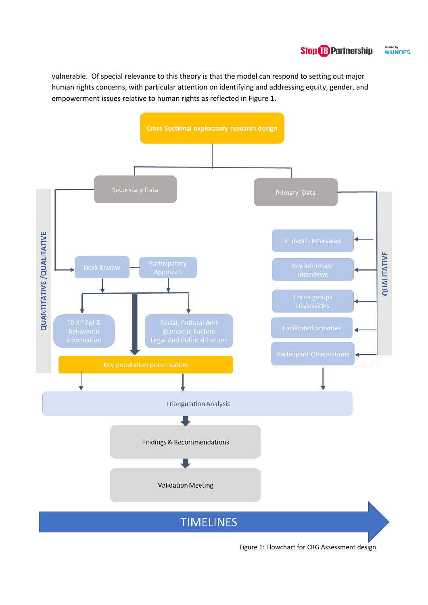#### hosted by<br>**@UN**OPS **Stop B Partnership**

vulnerable. Of special relevance to this theory is that the model can respond to setting out major human rights concerns, with particular attention on identifying and addressing equity, gender, and empowerment issues relative to human rights as reflected in Figure 1.



Figure 1: Flowchart for CRG Assessment design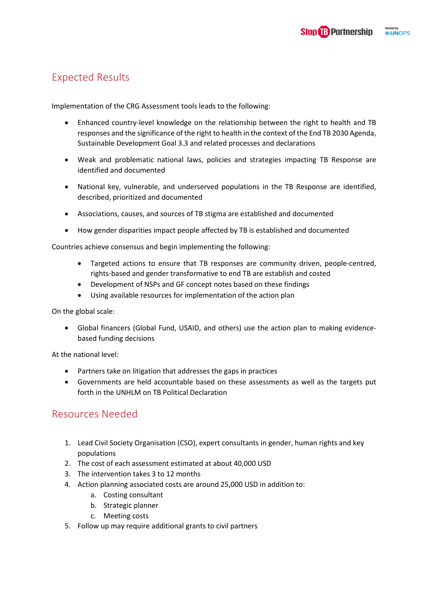# <span id="page-7-0"></span>Expected Results

Implementation of the CRG Assessment tools leads to the following:

- Enhanced country-level knowledge on the relationship between the right to health and TB responses and the significance of the right to health in the context of the End TB 2030 Agenda, Sustainable Development Goal 3.3 and related processes and declarations
- Weak and problematic national laws, policies and strategies impacting TB Response are identified and documented
- National key, vulnerable, and underserved populations in the TB Response are identified, described, prioritized and documented
- Associations, causes, and sources of TB stigma are established and documented
- How gender disparities impact people affected by TB is established and documented

Countries achieve consensus and begin implementing the following:

- Targeted actions to ensure that TB responses are community driven, people-centred, rights-based and gender transformative to end TB are establish and costed
- Development of NSPs and GF concept notes based on these findings
- Using available resources for implementation of the action plan

On the global scale:

• Global financers (Global Fund, USAID, and others) use the action plan to making evidencebased funding decisions

At the national level:

- Partners take on litigation that addresses the gaps in practices
- Governments are held accountable based on these assessments as well as the targets put forth in the UNHLM on TB Political Declaration

## <span id="page-7-1"></span>Resources Needed

- 1. Lead Civil Society Organisation (CSO), expert consultants in gender, human rights and key populations
- 2. The cost of each assessment estimated at about 40,000 USD
- 3. The intervention takes 3 to 12 months
- 4. Action planning associated costs are around 25,000 USD in addition to:
	- a. Costing consultant
	- b. Strategic planner
	- c. Meeting costs
- 5. Follow up may require additional grants to civil partners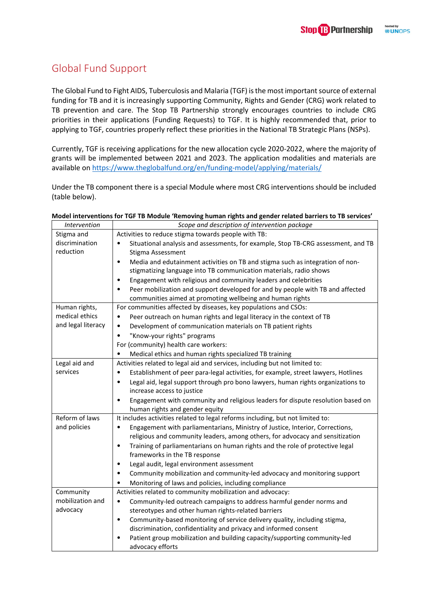# <span id="page-8-0"></span>Global Fund Support

The Global Fund to Fight AIDS, Tuberculosis and Malaria (TGF) is the most important source of external funding for TB and it is increasingly supporting Community, Rights and Gender (CRG) work related to TB prevention and care. The Stop TB Partnership strongly encourages countries to include CRG priorities in their applications (Funding Requests) to TGF. It is highly recommended that, prior to applying to TGF, countries properly reflect these priorities in the National TB Strategic Plans (NSPs).

Currently, TGF is receiving applications for the new allocation cycle 2020-2022, where the majority of grants will be implemented between 2021 and 2023. The application modalities and materials are available on<https://www.theglobalfund.org/en/funding-model/applying/materials/>

Under the TB component there is a special Module where most CRG interventions should be included (table below).

| Intervention                                                                                               | Scope and description of intervention package                                                  |  |  |
|------------------------------------------------------------------------------------------------------------|------------------------------------------------------------------------------------------------|--|--|
| Stigma and                                                                                                 | Activities to reduce stigma towards people with TB:                                            |  |  |
| discrimination                                                                                             | Situational analysis and assessments, for example, Stop TB-CRG assessment, and TB<br>$\bullet$ |  |  |
| reduction                                                                                                  | Stigma Assessment                                                                              |  |  |
|                                                                                                            | Media and edutainment activities on TB and stigma such as integration of non-<br>$\bullet$     |  |  |
|                                                                                                            | stigmatizing language into TB communication materials, radio shows                             |  |  |
|                                                                                                            | Engagement with religious and community leaders and celebrities<br>٠                           |  |  |
|                                                                                                            | Peer mobilization and support developed for and by people with TB and affected<br>$\bullet$    |  |  |
|                                                                                                            | communities aimed at promoting wellbeing and human rights                                      |  |  |
| Human rights,                                                                                              | For communities affected by diseases, key populations and CSOs:                                |  |  |
| medical ethics                                                                                             | Peer outreach on human rights and legal literacy in the context of TB<br>٠                     |  |  |
| and legal literacy                                                                                         | Development of communication materials on TB patient rights<br>$\bullet$                       |  |  |
|                                                                                                            | "Know-your rights" programs<br>$\bullet$                                                       |  |  |
|                                                                                                            | For (community) health care workers:                                                           |  |  |
|                                                                                                            | Medical ethics and human rights specialized TB training<br>٠                                   |  |  |
| Legal aid and                                                                                              | Activities related to legal aid and services, including but not limited to:                    |  |  |
| services                                                                                                   | Establishment of peer para-legal activities, for example, street lawyers, Hotlines<br>٠        |  |  |
|                                                                                                            | Legal aid, legal support through pro bono lawyers, human rights organizations to<br>٠          |  |  |
|                                                                                                            | increase access to justice                                                                     |  |  |
|                                                                                                            | Engagement with community and religious leaders for dispute resolution based on<br>٠           |  |  |
|                                                                                                            | human rights and gender equity                                                                 |  |  |
| Reform of laws                                                                                             | It includes activities related to legal reforms including, but not limited to:                 |  |  |
| and policies<br>Engagement with parliamentarians, Ministry of Justice, Interior, Corrections,<br>$\bullet$ |                                                                                                |  |  |
|                                                                                                            | religious and community leaders, among others, for advocacy and sensitization                  |  |  |
|                                                                                                            | Training of parliamentarians on human rights and the role of protective legal<br>٠             |  |  |
|                                                                                                            | frameworks in the TB response                                                                  |  |  |
|                                                                                                            | Legal audit, legal environment assessment<br>٠                                                 |  |  |
|                                                                                                            | Community mobilization and community-led advocacy and monitoring support<br>$\bullet$          |  |  |
|                                                                                                            | Monitoring of laws and policies, including compliance<br>$\bullet$                             |  |  |
| Community                                                                                                  | Activities related to community mobilization and advocacy:                                     |  |  |
| mobilization and                                                                                           | Community-led outreach campaigns to address harmful gender norms and<br>$\bullet$              |  |  |
| advocacy                                                                                                   | stereotypes and other human rights-related barriers                                            |  |  |
|                                                                                                            | Community-based monitoring of service delivery quality, including stigma,<br>٠                 |  |  |
|                                                                                                            | discrimination, confidentiality and privacy and informed consent                               |  |  |
|                                                                                                            | Patient group mobilization and building capacity/supporting community-led<br>٠                 |  |  |
|                                                                                                            | advocacy efforts                                                                               |  |  |

### **Model interventions for TGF TB Module 'Removing human rights and gender related barriers to TB services'**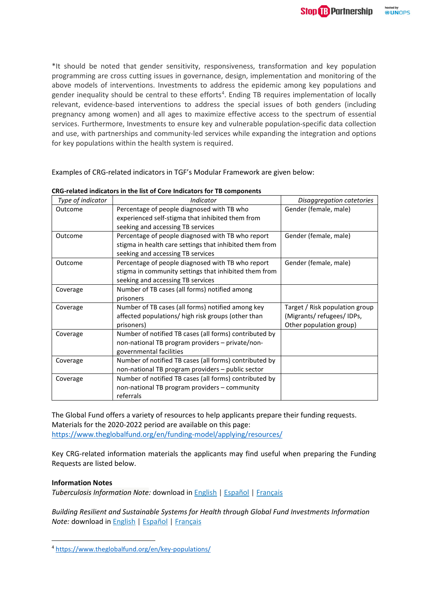\*It should be noted that gender sensitivity, responsiveness, transformation and key population programming are cross cutting issues in governance, design, implementation and monitoring of the above models of interventions. Investments to address the epidemic among key populations and gender inequality should be central to these efforts<sup>[4](#page-9-0)</sup>. Ending TB requires implementation of locally relevant, evidence-based interventions to address the special issues of both genders (including pregnancy among women) and all ages to maximize effective access to the spectrum of essential services. Furthermore, Investments to ensure key and vulnerable population-specific data collection and use, with partnerships and community-led services while expanding the integration and options for key populations within the health system is required.

Examples of CRG-related indicators in TGF's Modular Framework are given below:

| Type of indicator | Indicator                                                                                                                                         | Disaggregation catetories                                                             |
|-------------------|---------------------------------------------------------------------------------------------------------------------------------------------------|---------------------------------------------------------------------------------------|
| Outcome           | Percentage of people diagnosed with TB who<br>experienced self-stigma that inhibited them from<br>seeking and accessing TB services               | Gender (female, male)                                                                 |
| Outcome           | Percentage of people diagnosed with TB who report<br>stigma in health care settings that inhibited them from<br>seeking and accessing TB services | Gender (female, male)                                                                 |
| Outcome           | Percentage of people diagnosed with TB who report<br>stigma in community settings that inhibited them from<br>seeking and accessing TB services   | Gender (female, male)                                                                 |
| Coverage          | Number of TB cases (all forms) notified among<br>prisoners                                                                                        |                                                                                       |
| Coverage          | Number of TB cases (all forms) notified among key<br>affected populations/ high risk groups (other than<br>prisoners)                             | Target / Risk population group<br>(Migrants/refugees/IDPs,<br>Other population group) |
| Coverage          | Number of notified TB cases (all forms) contributed by<br>non-national TB program providers - private/non-<br>governmental facilities             |                                                                                       |
| Coverage          | Number of notified TB cases (all forms) contributed by<br>non-national TB program providers - public sector                                       |                                                                                       |
| Coverage          | Number of notified TB cases (all forms) contributed by<br>non-national TB program providers – community<br>referrals                              |                                                                                       |

| CRG-related indicators in the list of Core Indicators for TB components |  |
|-------------------------------------------------------------------------|--|
|-------------------------------------------------------------------------|--|

The Global Fund offers a variety of resources to help applicants prepare their funding requests. Materials for the 2020-2022 period are available on this page: <https://www.theglobalfund.org/en/funding-model/applying/resources/>

Key CRG-related information materials the applicants may find useful when preparing the Funding Requests are listed below.

### **Information Notes**

*Tuberculosis Information Note:* download in [English](https://www.theglobalfund.org/media/4762/core_tuberculosis_infonote_en.pdf?u=637153280630000000) | [Español](https://www.theglobalfund.org/media/8813/core_tuberculosis_infonote_es.pdf?u=637153281850000000) | [Français](https://www.theglobalfund.org/media/8812/core_tuberculosis_infonote_fr.pdf?u=637153281470000000)

*Building Resilient and Sustainable Systems for Health through Global Fund Investments Information Note:* download in [English](https://www.theglobalfund.org/media/4759/core_resilientsustainablesystemsforhealth_infonote_en.pdf?u=637153282230000000) | [Español](https://www.theglobalfund.org/media/8830/core_resilientsustainablesystemsforhealth_infonote_es.pdf?u=637153281970000000) | [Français](https://www.theglobalfund.org/media/8831/core_resilientsustainablesystemsforhealth_infonote_fr.pdf?u=637153281160000000)

<span id="page-9-0"></span><sup>4</sup> <https://www.theglobalfund.org/en/key-populations/>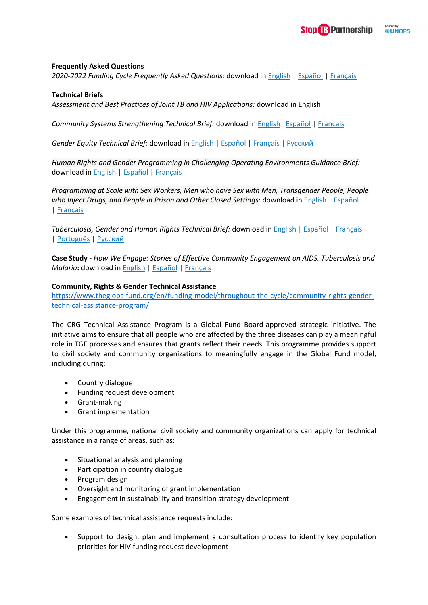### **Frequently Asked Questions**

*2020-2022 Funding Cycle Frequently Asked Questions:* download in [English](https://www.theglobalfund.org/media/8608/fundingmodel_2020-2022cycle_faq_en.pdf?u=637157386260000000) | [Español](https://www.theglobalfund.org/media/8992/fundingmodel_2020-2022cycle_faq_es.pdf?u=637157386330000000) | [Français](https://www.theglobalfund.org/media/8991/fundingmodel_2020-2022cycle_faq_fr.pdf?u=637157386310000000)

### **Technical Briefs**

*Assessment and Best Practices of Joint TB and HIV Applications:* download in [English](https://www.theglobalfund.org/media/8811/core_jointtbhivapplications_report_en.pdf?u=637153280890000000)

*Community Systems Strengthening Technical Brief:* download in [English|](https://www.theglobalfund.org/media/4790/core_communitysystems_technicalbrief_en.pdf?u=637153279400000000) [Español](https://www.theglobalfund.org/media/6903/core_communitysystems_technicalbrief_es.pdf?u=637153280120000000) | [Français](https://www.theglobalfund.org/media/6904/core_communitysystems_technicalbrief_fr.pdf?u=637153282190000000)

*Gender Equity Technical Brief:* download in [English](https://www.theglobalfund.org/media/5728/core_gender_infonote_en.pdf?u=637153279990000000) | [Español](https://www.theglobalfund.org/media/5729/core_gender_infonote_es.pdf?u=637153279950000000) | [Français](https://www.theglobalfund.org/media/5720/core_gender_infonote_fr.pdf?u=637153280070000000) | [Русский](https://www.theglobalfund.org/media/5721/core_gender_infonote_ru.pdf?u=637153279660000000)

*Human Rights and Gender Programming in Challenging Operating Environments Guidance Brief:*  download in [English](https://www.theglobalfund.org/media/6346/fundingmodel_humanrightsgenderchallengingoperatingenvironments_guidance_en.pdf?u=637153281250000000) | [Español](https://www.theglobalfund.org/media/6477/fundingmodel_humanrightsgenderchallengingoperatingenvironments_guidance_es.pdf?u=637153281670000000) | [Français](https://www.theglobalfund.org/media/6478/fundingmodel_humanrightsgenderchallengingoperatingenvironments_guidance_fr.pdf?u=637153281840000000)

*Programming at Scale with Sex Workers, Men who have Sex with Men, Transgender People, People*  who Inject Drugs, and People in Prison and Other Closed Settings: download in **[English](https://www.theglobalfund.org/media/4794/core_keypopulations_technicalbrief_en.pdf?u=637153281420000000) | [Español](https://www.theglobalfund.org/media/6300/core_keypopulations_technicalbrief_es.pdf?u=637153281820000000)** | [Français](https://www.theglobalfund.org/media/6301/core_keypopulations_technicalbrief_fr.pdf?u=637153282330000000)

*Tuberculosis, Gender and Human Rights Technical Brief:* download in [English](https://www.theglobalfund.org/media/6349/core_tbhumanrightsgenderequality_technicalbrief_en.pdf?u=637153281620000000) | [Español](https://www.theglobalfund.org/media/6522/core_tbhumanrightsgenderequality_technicalbrief_es.pdf?u=637153280550000000) | [Français](https://www.theglobalfund.org/media/6523/core_tbhumanrightsgenderequality_technicalbrief_fr.pdf?u=637153281840000000)  | [Português](https://www.theglobalfund.org/media/6520/core_tbhumanrightsgenderequality_technicalbrief_pt.pdf?u=637153281560000000) | [Русский](https://www.theglobalfund.org/media/6521/core_tbhumanrightsgenderequality_technicalbrief_ru.pdf?u=637153281800000000)

**Case Study -** *How We Engage: Stories of Effective Community Engagement on AIDS, Tuberculosis and Malaria***:** download in [English](https://www.theglobalfund.org/media/1547/publication_howweengage_report_en.pdf?u=637153281680000000) | [Español](https://www.theglobalfund.org/media/4324/publication_howweengage_report_es.pdf?u=637153281860000000) | [Français](https://www.theglobalfund.org/media/5677/publication_howweengage_report_fr.pdf?u=637153282110000000)

### **Community, Rights & Gender Technical Assistance**

[https://www.theglobalfund.org/en/funding-model/throughout-the-cycle/community-rights-gender](https://www.theglobalfund.org/en/funding-model/throughout-the-cycle/community-rights-gender-technical-assistance-program/)[technical-assistance-program/](https://www.theglobalfund.org/en/funding-model/throughout-the-cycle/community-rights-gender-technical-assistance-program/)

The CRG Technical Assistance Program is a Global Fund Board-approved strategic initiative. The initiative aims to ensure that all people who are affected by the three diseases can play a meaningful role in TGF processes and ensures that grants reflect their needs. This programme provides support to civil society and community organizations to meaningfully engage in the Global Fund model, including during:

- Country dialogue
- Funding request development
- Grant-making
- Grant implementation

Under this programme, national civil society and community organizations can apply for technical assistance in a range of areas, such as:

- Situational analysis and planning
- Participation in country dialogue
- Program design
- Oversight and monitoring of grant implementation
- Engagement in sustainability and transition strategy development

Some examples of technical assistance requests include:

• Support to design, plan and implement a consultation process to identify key population priorities for HIV funding request development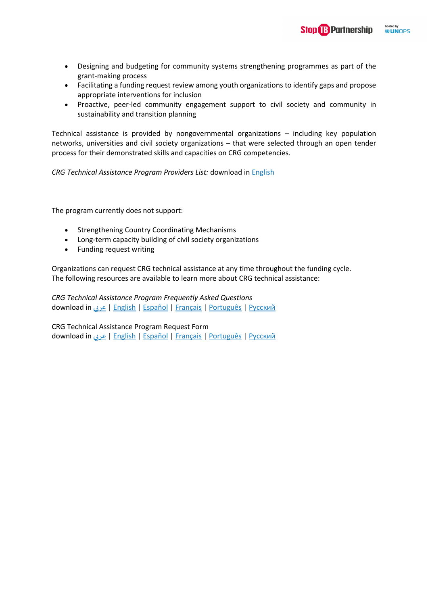**Stop & Partnership** 

hosted by<br>**WUN**OPS

- Designing and budgeting for community systems strengthening programmes as part of the grant-making process
- Facilitating a funding request review among youth organizations to identify gaps and propose appropriate interventions for inclusion
- Proactive, peer-led community engagement support to civil society and community in sustainability and transition planning

Technical assistance is provided by nongovernmental organizations – including key population networks, universities and civil society organizations – that were selected through an open tender process for their demonstrated skills and capacities on CRG competencies.

*CRG Technical Assistance Program Providers List:* download in [English](https://www.theglobalfund.org/media/5623/fundingmodel_crgtechnicalassistanceproviders_list_en.pdf?u=637153280220000000)

The program currently does not support:

- Strengthening Country Coordinating Mechanisms
- Long-term capacity building of civil society organizations
- Funding request writing

Organizations can request CRG technical assistance at any time throughout the funding cycle. The following resources are available to learn more about CRG technical assistance:

*CRG Technical Assistance Program Frequently Asked Questions* download in [عري](https://www.theglobalfund.org/media/6937/fundingmodel_crgtaprogram_faq_ar.pdf?u=637153280200000000) بي | [English](https://www.theglobalfund.org/media/6938/fundingmodel_crgtaprogram_faq_en.pdf?u=637153279510000000) | [Español](https://www.theglobalfund.org/media/6939/fundingmodel_crgtaprogram_faq_es.pdf?u=637153280330000000) | [Français](https://www.theglobalfund.org/media/6934/fundingmodel_crgtaprogram_faq_fr.pdf?u=637153278550000000) | [Português](https://www.theglobalfund.org/media/6935/fundingmodel_crgtaprogram_faq_pt.pdf?u=637153279960000000) | [Русский](https://www.theglobalfund.org/media/6936/fundingmodel_crgtaprogram_faq_ru.pdf?u=637153280230000000)

CRG Technical Assistance Program Request Form download in [عري](https://www.theglobalfund.org/media/5625/fundingmodel_crgtechnicalassistancerequest_form_ar.docx?u=637153280450000000) بي | [English](https://www.theglobalfund.org/media/5626/fundingmodel_crgtechnicalassistancerequest_form_en.docx?u=637153281830000000) | [Español](https://www.theglobalfund.org/media/5627/fundingmodel_crgtechnicalassistancerequest_form_es.docx?u=637153280880000000) | [Français](https://www.theglobalfund.org/media/5628/fundingmodel_crgtechnicalassistancerequest_form_fr.docx?u=637153281120000000) | [Português](https://www.theglobalfund.org/media/5630/fundingmodel_crgtechnicalassistancerequest_form_pt.docx?u=637153280940000000) | [Русский](https://www.theglobalfund.org/media/5629/fundingmodel_crgtechnicalassistancerequest_form_ru.docx?u=637153281360000000)